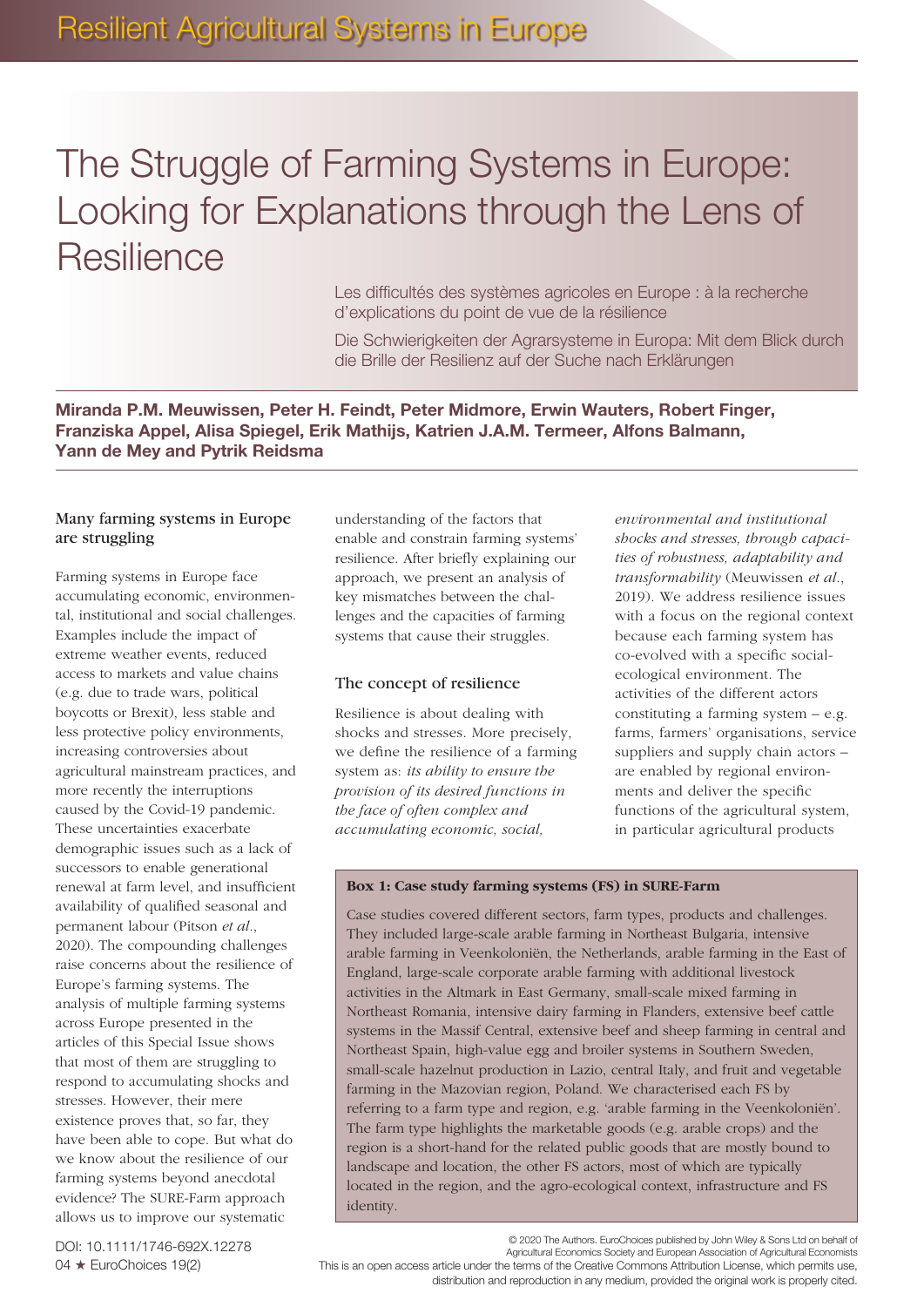## The Struggle of Farming Systems in Europe: Looking for Explanations through the Lens of **Resilience**

Les difficultés des systèmes agricoles en Europe : à la recherche d'explications du point de vue de la résilience

Die Schwierigkeiten der Agrarsysteme in Europa: Mit dem Blick durch die Brille der Resilienz auf der Suche nach Erklärungen

**Miranda P.M. Meuwissen, Peter H. Feindt, Peter Midmore, Erwin Wauters, Robert Finger, Franziska Appel, Alisa Spiegel, Erik Mathijs, Katrien J.A.M. Termeer, Alfons Balmann, Yann de Mey and Pytrik Reidsma**

#### Many farming systems in Europe are struggling

Farming systems in Europe face accumulating economic, environmental, institutional and social challenges. Examples include the impact of extreme weather events, reduced access to markets and value chains (e.g. due to trade wars, political boycotts or Brexit), less stable and less protective policy environments, increasing controversies about agricultural mainstream practices, and more recently the interruptions caused by the Covid-19 pandemic. These uncertainties exacerbate demographic issues such as a lack of successors to enable generational renewal at farm level, and insufficient availability of qualified seasonal and permanent labour (Pitson *et al.*, 2020). The compounding challenges raise concerns about the resilience of Europe's farming systems. The analysis of multiple farming systems across Europe presented in the articles of this Special Issue shows that most of them are struggling to respond to accumulating shocks and stresses. However, their mere existence proves that, so far, they have been able to cope. But what do we know about the resilience of our farming systems beyond anecdotal evidence? The SURE-Farm approach allows us to improve our systematic

04 ★ EuroChoices 19(2) DOI: 10.1111/1746-692X.12278 understanding of the factors that enable and constrain farming systems' resilience. After briefly explaining our approach, we present an analysis of key mismatches between the challenges and the capacities of farming systems that cause their struggles.

#### The concept of resilience

Resilience is about dealing with shocks and stresses. More precisely, we define the resilience of a farming system as: *its ability to ensure the provision of its desired functions in the face of often complex and accumulating economic, social,* 

*environmental and institutional shocks and stresses, through capacities of robustness, adaptability and transformability* (Meuwissen *et al*., 2019). We address resilience issues with a focus on the regional context because each farming system has co-evolved with a specific socialecological environment. The activities of the different actors constituting a farming system – e.g. farms, farmers' organisations, service suppliers and supply chain actors – are enabled by regional environments and deliver the specific functions of the agricultural system, in particular agricultural products

#### **Box 1: Case study farming systems (FS) in SURE-Farm**

Case studies covered different sectors, farm types, products and challenges. They included large-scale arable farming in Northeast Bulgaria, intensive arable farming in Veenkoloniën, the Netherlands, arable farming in the East of England, large-scale corporate arable farming with additional livestock activities in the Altmark in East Germany, small-scale mixed farming in Northeast Romania, intensive dairy farming in Flanders, extensive beef cattle systems in the Massif Central, extensive beef and sheep farming in central and Northeast Spain, high-value egg and broiler systems in Southern Sweden, small-scale hazelnut production in Lazio, central Italy, and fruit and vegetable farming in the Mazovian region, Poland. We characterised each FS by referring to a farm type and region, e.g. 'arable farming in the Veenkoloniën'. The farm type highlights the marketable goods (e.g. arable crops) and the region is a short-hand for the related public goods that are mostly bound to landscape and location, the other FS actors, most of which are typically located in the region, and the agro-ecological context, infrastructure and FS identity.

© 2020 The Authors. EuroChoices published by John Wiley & Sons Ltd on behalf of Agricultural Economics Society and European Association of Agricultural Economists This is an open access article under the terms of the [Creative Commons Attribution](http://creativecommons.org/licenses/by/4.0/) License, which permits use, distribution and reproduction in any medium, provided the original work is properly cited.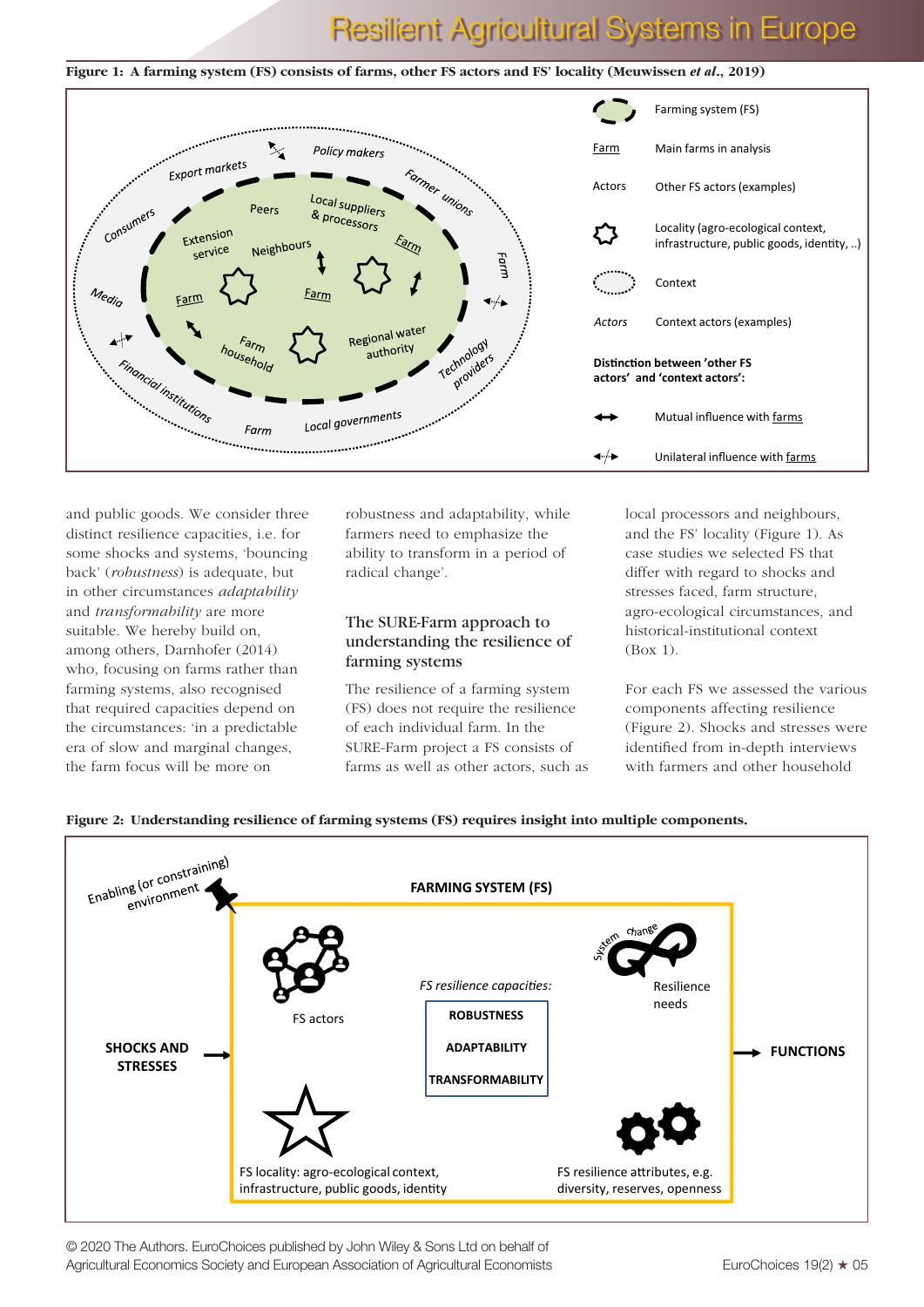**Figure 1: A farming system (FS) consists of farms, other FS actors and FS' locality (Meuwissen** *et al***., 2019)**



and public goods. We consider three distinct resilience capacities, i.e. for some shocks and systems, 'bouncing back' (*robustness*) is adequate, but in other circumstances *adaptability* and *transformability* are more suitable. We hereby build on, among others, Darnhofer (2014) who, focusing on farms rather than farming systems, also recognised that required capacities depend on the circumstances: 'in a predictable era of slow and marginal changes, the farm focus will be more on

robustness and adaptability, while farmers need to emphasize the ability to transform in a period of radical change'.

#### The SURE-Farm approach to understanding the resilience of farming systems

The resilience of a farming system (FS) does not require the resilience of each individual farm. In the SURE-Farm project a FS consists of farms as well as other actors, such as local processors and neighbours, and the FS' locality (Figure 1). As case studies we selected FS that differ with regard to shocks and stresses faced, farm structure, agro-ecological circumstances, and historical-institutional context (Box 1).

For each FS we assessed the various components affecting resilience (Figure 2). Shocks and stresses were identified from in-depth interviews with farmers and other household



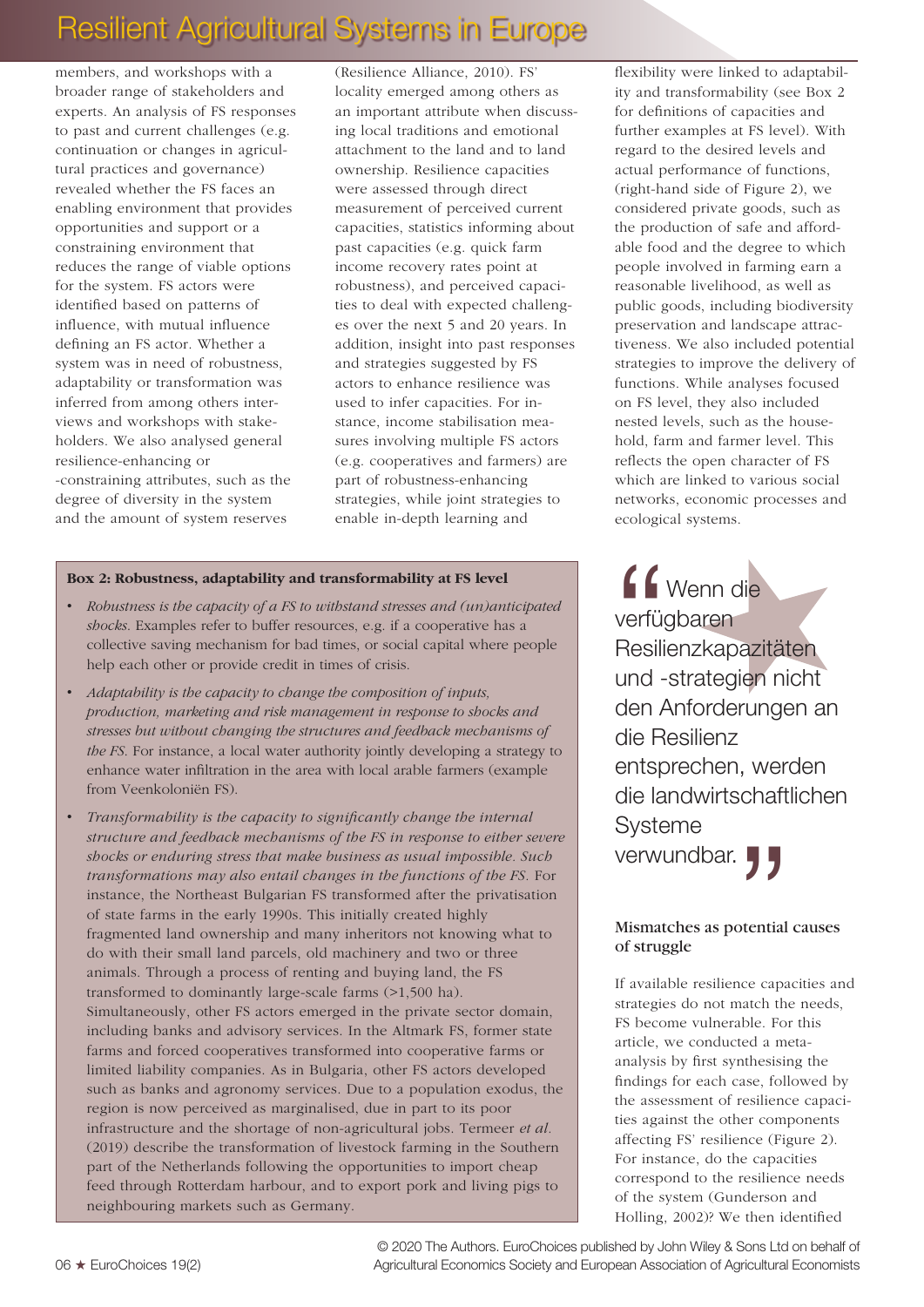members, and workshops with a broader range of stakeholders and experts. An analysis of FS responses to past and current challenges (e.g. continuation or changes in agricultural practices and governance) revealed whether the FS faces an enabling environment that provides opportunities and support or a constraining environment that reduces the range of viable options for the system. FS actors were identified based on patterns of influence, with mutual influence defining an FS actor. Whether a system was in need of robustness, adaptability or transformation was inferred from among others interviews and workshops with stakeholders. We also analysed general resilience-enhancing or -constraining attributes, such as the

degree of diversity in the system and the amount of system reserves

(Resilience Alliance, 2010). FS' locality emerged among others as an important attribute when discussing local traditions and emotional attachment to the land and to land ownership. Resilience capacities were assessed through direct measurement of perceived current capacities, statistics informing about past capacities (e.g. quick farm income recovery rates point at robustness), and perceived capacities to deal with expected challenges over the next 5 and 20 years. In addition, insight into past responses and strategies suggested by FS actors to enhance resilience was used to infer capacities. For instance, income stabilisation measures involving multiple FS actors (e.g. cooperatives and farmers) are part of robustness-enhancing strategies, while joint strategies to enable in-depth learning and

#### **Box 2: Robustness, adaptability and transformability at FS level**

- *Robustness is the capacity of a FS to withstand stresses and (un)anticipated shocks*. Examples refer to buffer resources, e.g. if a cooperative has a collective saving mechanism for bad times, or social capital where people help each other or provide credit in times of crisis.
- *Adaptability is the capacity to change the composition of inputs, production, marketing and risk management in response to shocks and stresses but without changing the structures and feedback mechanisms of the FS*. For instance, a local water authority jointly developing a strategy to enhance water infiltration in the area with local arable farmers (example from Veenkoloniën FS).
- *Transformability is the capacity to significantly change the internal structure and feedback mechanisms of the FS in response to either severe shocks or enduring stress that make business as usual impossible. Such transformations may also entail changes in the functions of the FS.* For instance, the Northeast Bulgarian FS transformed after the privatisation of state farms in the early 1990s. This initially created highly fragmented land ownership and many inheritors not knowing what to do with their small land parcels, old machinery and two or three animals. Through a process of renting and buying land, the FS transformed to dominantly large-scale farms (>1,500 ha). Simultaneously, other FS actors emerged in the private sector domain, including banks and advisory services. In the Altmark FS, former state farms and forced cooperatives transformed into cooperative farms or limited liability companies. As in Bulgaria, other FS actors developed such as banks and agronomy services. Due to a population exodus, the region is now perceived as marginalised, due in part to its poor infrastructure and the shortage of non-agricultural jobs. Termeer *et al.* (2019) describe the transformation of livestock farming in the Southern part of the Netherlands following the opportunities to import cheap feed through Rotterdam harbour, and to export pork and living pigs to neighbouring markets such as Germany.

flexibility were linked to adaptability and transformability (see Box 2 for definitions of capacities and further examples at FS level). With regard to the desired levels and actual performance of functions, (right-hand side of Figure 2), we considered private goods, such as the production of safe and affordable food and the degree to which people involved in farming earn a reasonable livelihood, as well as public goods, including biodiversity preservation and landscape attractiveness. We also included potential strategies to improve the delivery of functions. While analyses focused on FS level, they also included nested levels, such as the household, farm and farmer level. This reflects the open character of FS which are linked to various social networks, economic processes and ecological systems.

( Wenn die verfügbaren Resilienzkapazitäten und -strategien nicht den Anforderungen an die Resilienz entsprechen, werden die landwirtschaftlichen **Systeme** verwundbar.

#### Mismatches as potential causes of struggle

If available resilience capacities and strategies do not match the needs, FS become vulnerable. For this article, we conducted a metaanalysis by first synthesising the findings for each case, followed by the assessment of resilience capacities against the other components affecting FS' resilience (Figure 2). For instance, do the capacities correspond to the resilience needs of the system (Gunderson and Holling, 2002)? We then identified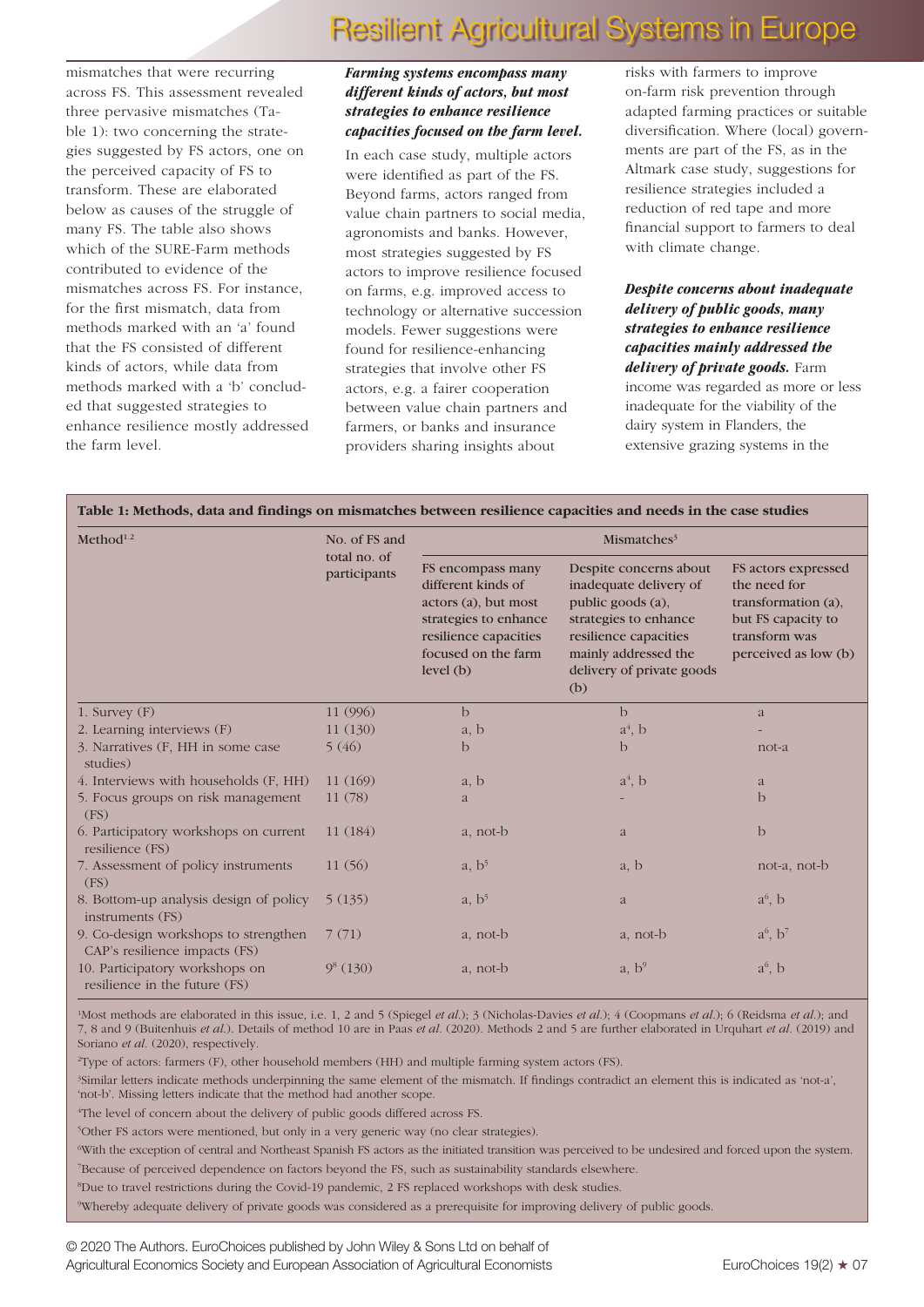mismatches that were recurring across FS. This assessment revealed three pervasive mismatches (Table 1): two concerning the strategies suggested by FS actors, one on the perceived capacity of FS to transform. These are elaborated below as causes of the struggle of many FS. The table also shows which of the SURE-Farm methods contributed to evidence of the mismatches across FS. For instance, for the first mismatch, data from methods marked with an 'a' found that the FS consisted of different kinds of actors, while data from methods marked with a 'b' concluded that suggested strategies to enhance resilience mostly addressed the farm level.

#### *Farming systems encompass many different kinds of actors, but most strategies to enhance resilience capacities focused on the farm level.*

In each case study, multiple actors were identified as part of the FS. Beyond farms, actors ranged from value chain partners to social media, agronomists and banks. However, most strategies suggested by FS actors to improve resilience focused on farms, e.g. improved access to technology or alternative succession models. Fewer suggestions were found for resilience-enhancing strategies that involve other FS actors, e.g. a fairer cooperation between value chain partners and farmers, or banks and insurance providers sharing insights about

risks with farmers to improve on-farm risk prevention through adapted farming practices or suitable diversification. Where (local) governments are part of the FS, as in the Altmark case study, suggestions for resilience strategies included a reduction of red tape and more financial support to farmers to deal with climate change.

*Despite concerns about inadequate delivery of public goods, many strategies to enhance resilience capacities mainly addressed the delivery of private goods.* Farm income was regarded as more or less inadequate for the viability of the dairy system in Flanders, the extensive grazing systems in the

| Table 1: Methods, data and findings on mismatches between resilience capacities and needs in the case studies |                                               |                                                                                                                                                      |                                                                                                                                                                                     |                                                                                                                           |
|---------------------------------------------------------------------------------------------------------------|-----------------------------------------------|------------------------------------------------------------------------------------------------------------------------------------------------------|-------------------------------------------------------------------------------------------------------------------------------------------------------------------------------------|---------------------------------------------------------------------------------------------------------------------------|
| Method <sup>1.2</sup>                                                                                         | No. of FS and<br>total no. of<br>participants | Mismatches <sup>3</sup>                                                                                                                              |                                                                                                                                                                                     |                                                                                                                           |
|                                                                                                               |                                               | FS encompass many<br>different kinds of<br>actors (a), but most<br>strategies to enhance<br>resilience capacities<br>focused on the farm<br>level(b) | Despite concerns about<br>inadequate delivery of<br>public goods (a),<br>strategies to enhance<br>resilience capacities<br>mainly addressed the<br>delivery of private goods<br>(b) | FS actors expressed<br>the need for<br>transformation (a),<br>but FS capacity to<br>transform was<br>perceived as low (b) |
| 1. Survey $(F)$                                                                                               | 11 (996)                                      | $\mathbf b$                                                                                                                                          | $\mathbf b$                                                                                                                                                                         | a                                                                                                                         |
| 2. Learning interviews (F)                                                                                    | 11(130)                                       | a, b                                                                                                                                                 | $a^4$ , b                                                                                                                                                                           |                                                                                                                           |
| 3. Narratives (F, HH in some case<br>studies)                                                                 | 5(46)                                         | b                                                                                                                                                    | b                                                                                                                                                                                   | not-a                                                                                                                     |
| 4. Interviews with households (F, HH)                                                                         | 11 (169)                                      | a, b                                                                                                                                                 | $a^4$ , b                                                                                                                                                                           | a                                                                                                                         |
| 5. Focus groups on risk management<br>(FS)                                                                    | 11(78)                                        | a                                                                                                                                                    |                                                                                                                                                                                     | b.                                                                                                                        |
| 6. Participatory workshops on current<br>resilience (FS)                                                      | 11 (184)                                      | a, not-b                                                                                                                                             | a                                                                                                                                                                                   | $\mathbf b$                                                                                                               |
| 7. Assessment of policy instruments<br>(FS)                                                                   | 11 (56)                                       | a, b <sup>5</sup>                                                                                                                                    | a, b                                                                                                                                                                                | not-a, not-b                                                                                                              |
| 8. Bottom-up analysis design of policy<br>instruments (FS)                                                    | 5(135)                                        | a, b <sup>5</sup>                                                                                                                                    | a                                                                                                                                                                                   | $a^6$ , b                                                                                                                 |
| 9. Co-design workshops to strengthen<br>CAP's resilience impacts (FS)                                         | 7(71)                                         | a, not-b                                                                                                                                             | a, not-b                                                                                                                                                                            | $a^6$ , $b^7$                                                                                                             |
| 10. Participatory workshops on<br>resilience in the future (FS)                                               | $9^8(130)$                                    | a, not-b                                                                                                                                             | a, b <sup>9</sup>                                                                                                                                                                   | $a^6$ , b                                                                                                                 |

1 Most methods are elaborated in this issue, i.e. 1, 2 and 5 (Spiegel *et al*.); 3 (Nicholas-Davies *et al*.); 4 (Coopmans *et al*.); 6 (Reidsma *et al*.); and 7, 8 and 9 (Buitenhuis *et al*.). Details of method 10 are in Paas *et al.* (2020). Methods 2 and 5 are further elaborated in Urquhart *et al.* (2019) and Soriano *et al.* (2020), respectively.

2 Type of actors: farmers (F), other household members (HH) and multiple farming system actors (FS).

3 Similar letters indicate methods underpinning the same element of the mismatch. If findings contradict an element this is indicated as 'not-a', 'not-b'. Missing letters indicate that the method had another scope.

4 The level of concern about the delivery of public goods differed across FS.

5 Other FS actors were mentioned, but only in a very generic way (no clear strategies).

6 With the exception of central and Northeast Spanish FS actors as the initiated transition was perceived to be undesired and forced upon the system. 7 Because of perceived dependence on factors beyond the FS, such as sustainability standards elsewhere.

8 Due to travel restrictions during the Covid-19 pandemic, 2 FS replaced workshops with desk studies.

9 Whereby adequate delivery of private goods was considered as a prerequisite for improving delivery of public goods.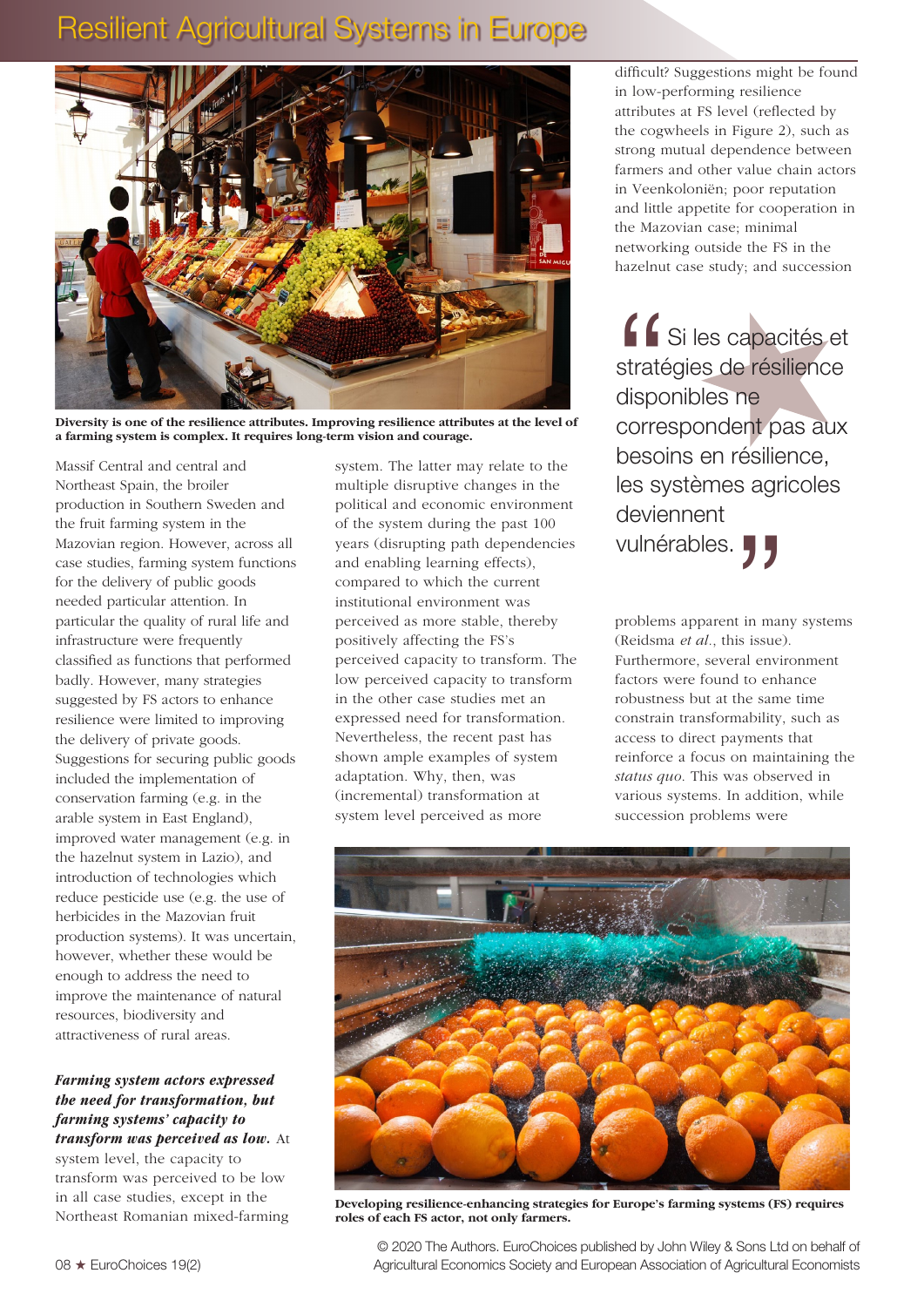

**Diversity is one of the resilience attributes. Improving resilience attributes at the level of a farming system is complex. It requires long-term vision and courage.**

Massif Central and central and Northeast Spain, the broiler production in Southern Sweden and the fruit farming system in the Mazovian region. However, across all case studies, farming system functions for the delivery of public goods needed particular attention. In particular the quality of rural life and infrastructure were frequently classified as functions that performed badly. However, many strategies suggested by FS actors to enhance resilience were limited to improving the delivery of private goods. Suggestions for securing public goods included the implementation of conservation farming (e.g. in the arable system in East England), improved water management (e.g. in the hazelnut system in Lazio), and introduction of technologies which reduce pesticide use (e.g. the use of herbicides in the Mazovian fruit production systems). It was uncertain, however, whether these would be enough to address the need to improve the maintenance of natural resources, biodiversity and attractiveness of rural areas.

#### *Farming system actors expressed the need for transformation, but farming systems' capacity to transform was perceived as low.* At

system level, the capacity to transform was perceived to be low in all case studies, except in the Northeast Romanian mixed-farming system. The latter may relate to the multiple disruptive changes in the political and economic environment of the system during the past 100 years (disrupting path dependencies and enabling learning effects), compared to which the current institutional environment was perceived as more stable, thereby positively affecting the FS's perceived capacity to transform. The low perceived capacity to transform in the other case studies met an expressed need for transformation. Nevertheless, the recent past has shown ample examples of system adaptation. Why, then, was (incremental) transformation at system level perceived as more

difficult? Suggestions might be found in low-performing resilience attributes at FS level (reflected by the cogwheels in Figure 2), such as strong mutual dependence between farmers and other value chain actors in Veenkoloniën; poor reputation and little appetite for cooperation in the Mazovian case; minimal networking outside the FS in the hazelnut case study; and succession

ff<br>straté<br>dispo<br>corre Si les capacités et stratégies de résilience disponibles ne correspondent pas aux besoins en résilience, les systèmes agricoles deviennent vulnérables.  $\blacksquare$ 

problems apparent in many systems (Reidsma *et al.*, this issue). Furthermore, several environment factors were found to enhance robustness but at the same time constrain transformability, such as access to direct payments that reinforce a focus on maintaining the *status quo*. This was observed in various systems. In addition, while succession problems were



**Developing resilience-enhancing strategies for Europe's farming systems (FS) requires roles of each FS actor, not only farmers.**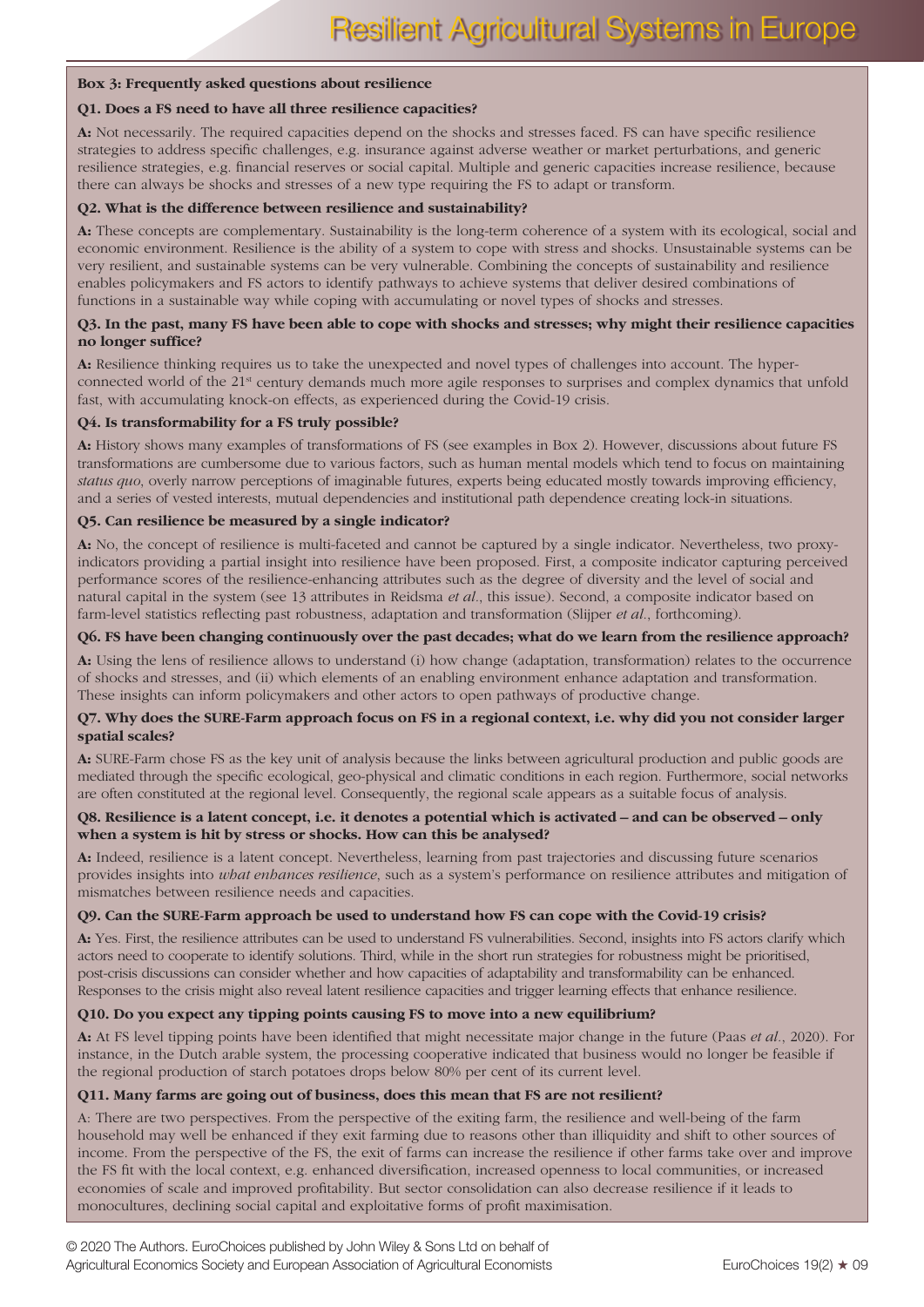#### **Box 3: Frequently asked questions about resilience**

#### **Q1. Does a FS need to have all three resilience capacities?**

**A:** Not necessarily. The required capacities depend on the shocks and stresses faced. FS can have specific resilience strategies to address specific challenges, e.g. insurance against adverse weather or market perturbations, and generic resilience strategies, e.g. financial reserves or social capital. Multiple and generic capacities increase resilience, because there can always be shocks and stresses of a new type requiring the FS to adapt or transform.

#### **Q2. What is the difference between resilience and sustainability?**

**A:** These concepts are complementary. Sustainability is the long-term coherence of a system with its ecological, social and economic environment. Resilience is the ability of a system to cope with stress and shocks. Unsustainable systems can be very resilient, and sustainable systems can be very vulnerable. Combining the concepts of sustainability and resilience enables policymakers and FS actors to identify pathways to achieve systems that deliver desired combinations of functions in a sustainable way while coping with accumulating or novel types of shocks and stresses.

#### **Q3. In the past, many FS have been able to cope with shocks and stresses; why might their resilience capacities no longer suffice?**

**A:** Resilience thinking requires us to take the unexpected and novel types of challenges into account. The hyperconnected world of the 21<sup>st</sup> century demands much more agile responses to surprises and complex dynamics that unfold fast, with accumulating knock-on effects, as experienced during the Covid-19 crisis.

#### **Q4. Is transformability for a FS truly possible?**

**A:** History shows many examples of transformations of FS (see examples in Box 2). However, discussions about future FS transformations are cumbersome due to various factors, such as human mental models which tend to focus on maintaining *status quo*, overly narrow perceptions of imaginable futures, experts being educated mostly towards improving efficiency, and a series of vested interests, mutual dependencies and institutional path dependence creating lock-in situations.

#### **Q5. Can resilience be measured by a single indicator?**

**A:** No, the concept of resilience is multi-faceted and cannot be captured by a single indicator. Nevertheless, two proxyindicators providing a partial insight into resilience have been proposed. First, a composite indicator capturing perceived performance scores of the resilience-enhancing attributes such as the degree of diversity and the level of social and natural capital in the system (see 13 attributes in Reidsma *et al.*, this issue). Second, a composite indicator based on farm-level statistics reflecting past robustness, adaptation and transformation (Slijper *et al.*, forthcoming).

#### **Q6. FS have been changing continuously over the past decades; what do we learn from the resilience approach?**

**A:** Using the lens of resilience allows to understand (i) how change (adaptation, transformation) relates to the occurrence of shocks and stresses, and (ii) which elements of an enabling environment enhance adaptation and transformation. These insights can inform policymakers and other actors to open pathways of productive change.

#### **Q7. Why does the SURE-Farm approach focus on FS in a regional context, i.e. why did you not consider larger spatial scales?**

**A:** SURE-Farm chose FS as the key unit of analysis because the links between agricultural production and public goods are mediated through the specific ecological, geo-physical and climatic conditions in each region. Furthermore, social networks are often constituted at the regional level. Consequently, the regional scale appears as a suitable focus of analysis.

#### **Q8. Resilience is a latent concept, i.e. it denotes a potential which is activated – and can be observed – only when a system is hit by stress or shocks. How can this be analysed?**

**A:** Indeed, resilience is a latent concept. Nevertheless, learning from past trajectories and discussing future scenarios provides insights into *what enhances resilience*, such as a system's performance on resilience attributes and mitigation of mismatches between resilience needs and capacities.

#### **Q9. Can the SURE-Farm approach be used to understand how FS can cope with the Covid-19 crisis?**

**A:** Yes. First, the resilience attributes can be used to understand FS vulnerabilities. Second, insights into FS actors clarify which actors need to cooperate to identify solutions. Third, while in the short run strategies for robustness might be prioritised, post-crisis discussions can consider whether and how capacities of adaptability and transformability can be enhanced. Responses to the crisis might also reveal latent resilience capacities and trigger learning effects that enhance resilience.

#### **Q10. Do you expect any tipping points causing FS to move into a new equilibrium?**

**A:** At FS level tipping points have been identified that might necessitate major change in the future (Paas *et al.*, 2020). For instance, in the Dutch arable system, the processing cooperative indicated that business would no longer be feasible if the regional production of starch potatoes drops below 80% per cent of its current level.

#### **Q11. Many farms are going out of business, does this mean that FS are not resilient?**

A: There are two perspectives. From the perspective of the exiting farm, the resilience and well-being of the farm household may well be enhanced if they exit farming due to reasons other than illiquidity and shift to other sources of income. From the perspective of the FS, the exit of farms can increase the resilience if other farms take over and improve the FS fit with the local context, e.g. enhanced diversification, increased openness to local communities, or increased economies of scale and improved profitability. But sector consolidation can also decrease resilience if it leads to monocultures, declining social capital and exploitative forms of profit maximisation.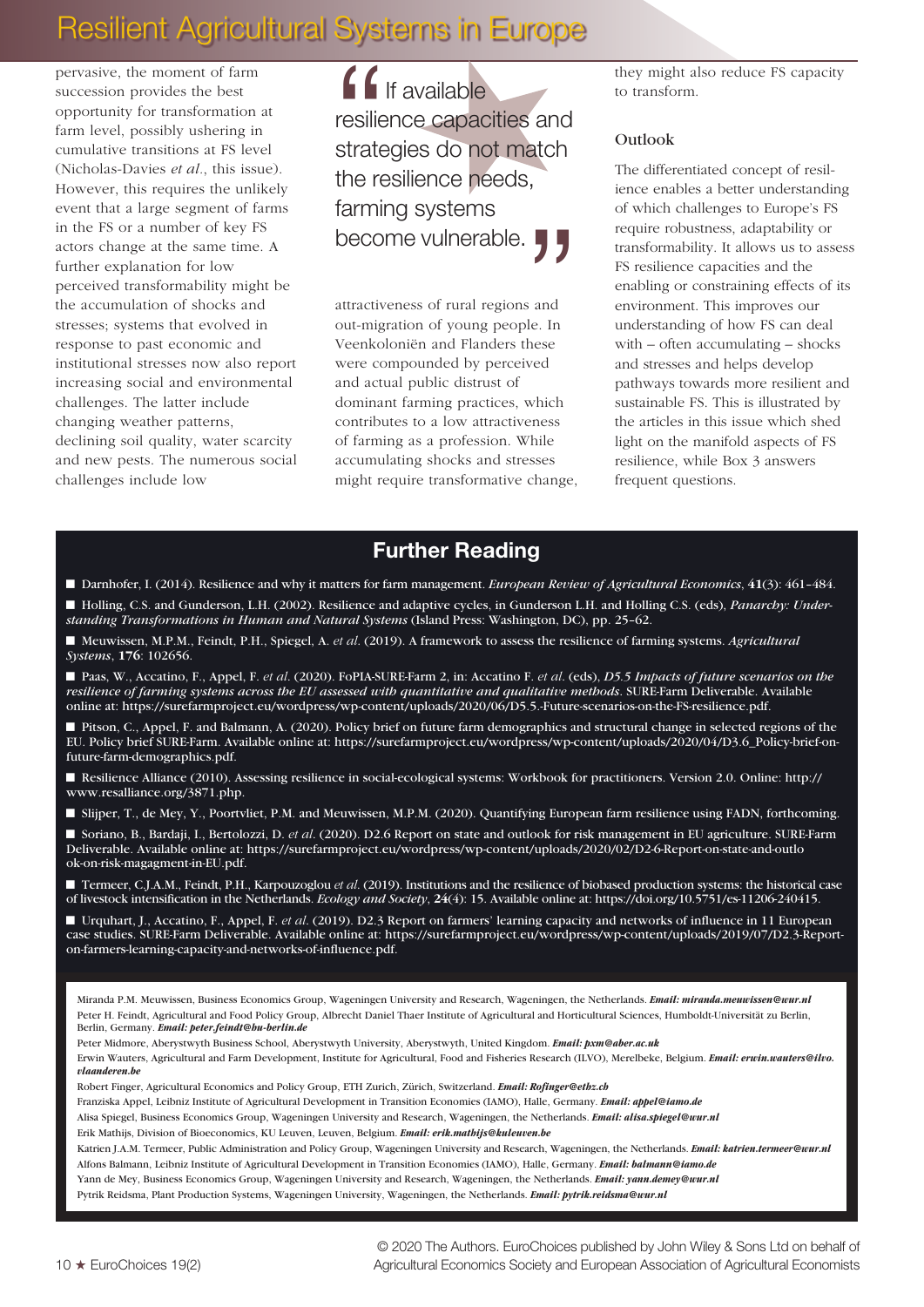pervasive, the moment of farm succession provides the best opportunity for transformation at farm level, possibly ushering in cumulative transitions at FS level (Nicholas-Davies *et al.*, this issue). However, this requires the unlikely event that a large segment of farms in the FS or a number of key FS actors change at the same time. A further explanation for low perceived transformability might be the accumulation of shocks and stresses; systems that evolved in response to past economic and institutional stresses now also report increasing social and environmental challenges. The latter include changing weather patterns, declining soil quality, water scarcity and new pests. The numerous social challenges include low

Tresilie<br>
strate<br>
the re If available resilience capacities and strategies do not match the resilience needs, farming systems become vulnerable.  $\blacksquare$ 

attractiveness of rural regions and out-migration of young people. In Veenkoloniën and Flanders these were compounded by perceived and actual public distrust of dominant farming practices, which contributes to a low attractiveness of farming as a profession. While accumulating shocks and stresses might require transformative change, they might also reduce FS capacity to transform.

#### Outlook

The differentiated concept of resilience enables a better understanding of which challenges to Europe's FS require robustness, adaptability or transformability. It allows us to assess FS resilience capacities and the enabling or constraining effects of its environment. This improves our understanding of how FS can deal with – often accumulating – shocks and stresses and helps develop pathways towards more resilient and sustainable FS. This is illustrated by the articles in this issue which shed light on the manifold aspects of FS resilience, while Box 3 answers frequent questions.

#### **Further Reading**

■ Darnhofer, I. (2014). Resilience and why it matters for farm management. *European Review of Agricultural Economics*, 41(3): 461-484.

■ Holling, C.S. and Gunderson, L.H. (2002). Resilience and adaptive cycles, in Gunderson L.H. and Holling C.S. (eds), *Panarchy: Understanding Transformations in Human and Natural Systems* (Island Press: Washington, DC), pp. 25–62.

■ Meuwissen, M.P.M., Feindt, P.H., Spiegel, A. *et al.* (2019). A framework to assess the resilience of farming systems. *Agricultural Systems*, **176**: 102656.

<sup>J</sup> Paas, W., Accatino, F., Appel, F. *et al*. (2020). FoPIA-SURE-Farm 2, in: Accatino F. *et al*. (eds), *D5.5 Impacts of future scenarios on the resilience of farming systems across the EU assessed with quantitative and qualitative methods*. SURE-Farm Deliverable. Available online at: [https://surefarmproject.eu/wordpress/wp-content/uploads/2020/06/D5.5.-Future-scenarios-on-the-FS-resilience.pdf.](https://surefarmproject.eu/wordpress/wp-content/uploads/2020/06/D5.5.-Future-scenarios-on-the-FS-resilience.pdf)

■ Pitson, C., Appel, F. and Balmann, A. (2020). Policy brief on future farm demographics and structural change in selected regions of the EU. Policy brief SURE-Farm. Available online at: [https://surefarmproject.eu/wordpress/wp-content/uploads/2020/04/D3.6\\_Policy-brief-on](https://surefarmproject.eu/wordpress/wp-content/uploads/2020/04/D3.6_Policy-brief-on-future-farm-demographics.pdf)[future-farm-demographics.pdf.](https://surefarmproject.eu/wordpress/wp-content/uploads/2020/04/D3.6_Policy-brief-on-future-farm-demographics.pdf)

<sup>J</sup> Resilience Alliance (2010). Assessing resilience in social-ecological systems: Workbook for practitioners. Version 2.0. Online: [http://](http://www.resalliance.org/3871.php) [www.resalliance.org/3871.php.](http://www.resalliance.org/3871.php)

■ Slijper, T., de Mey, Y., Poortvliet, P.M. and Meuwissen, M.P.M. (2020). Quantifying European farm resilience using FADN, forthcoming.

■ Soriano, B., Bardaji, I., Bertolozzi, D. *et al.* (2020). D2.6 Report on state and outlook for risk management in EU agriculture. SURE-Farm Deliverable. Available online at: [https://surefarmproject.eu/wordpress/wp-content/uploads/2020/02/D2-6-Report-on-state-and-outlo](https://surefarmproject.eu/wordpress/wp-content/uploads/2020/02/D2-6-Report-on-state-and-outlook-on-risk-magagment-in-EU.pdf) [ok-on-risk-magagment-in-EU.pdf](https://surefarmproject.eu/wordpress/wp-content/uploads/2020/02/D2-6-Report-on-state-and-outlook-on-risk-magagment-in-EU.pdf).

<sup>J</sup> Termeer, C.J.A.M., Feindt, P.H., Karpouzoglou *et al*. (2019). Institutions and the resilience of biobased production systems: the historical case of livestock intensification in the Netherlands. *Ecology and Society*, **24**(4): 15. Available online at: [https://doi.org/10.5751/es-11206-240415.](https://doi.org/10.5751/es-11206-240415)

<sup>J</sup> Urquhart, J., Accatino, F., Appel, F. *et al*. (2019). D2.3 Report on farmers' learning capacity and networks of influence in 11 European case studies. SURE-Farm Deliverable. Available online at: [https://surefarmproject.eu/wordpress/wp-content/uploads/2019/07/D2.3-Report](https://surefarmproject.eu/wordpress/wp-content/uploads/2019/07/D2.3-Report-on-farmers-learning-capacity-and-networks-of-influence.pdf)[on-farmers-learning-capacity-and-networks-of-influence.pdf](https://surefarmproject.eu/wordpress/wp-content/uploads/2019/07/D2.3-Report-on-farmers-learning-capacity-and-networks-of-influence.pdf).

Miranda P.M. Meuwissen, Business Economics Group, Wageningen University and Research, Wageningen, the Netherlands. *Email: miranda.meuwissen@wur.nl* Peter H. Feindt, Agricultural and Food Policy Group, Albrecht Daniel Thaer Institute of Agricultural and Horticultural Sciences, Humboldt-Universität zu Berlin, Berlin, Germany. *Email: peter.feindt@hu-berlin.de*

Peter Midmore, Aberystwyth Business School, Aberystwyth University, Aberystwyth, United Kingdom. *Email: pxm@aber.ac.uk* Erwin Wauters, Agricultural and Farm Development, Institute for Agricultural, Food and Fisheries Research (ILVO), Merelbeke, Belgium. *Email: erwin.wauters@ilvo. vlaanderen.be*

Robert Finger, Agricultural Economics and Policy Group, ETH Zurich, Zürich, Switzerland. *Email: Rofinger@ethz.ch*

Franziska Appel, Leibniz Institute of Agricultural Development in Transition Economies (IAMO), Halle, Germany. *Email: appel@iamo.de*

Alisa Spiegel, Business Economics Group, Wageningen University and Research, Wageningen, the Netherlands. *Email: alisa.spiegel@wur.nl*

Erik Mathijs, Division of Bioeconomics, KU Leuven, Leuven, Belgium. *Email: erik.mathijs@kuleuven.be*

Katrien J.A.M. Termeer, Public Administration and Policy Group, Wageningen University and Research, Wageningen, the Netherlands. *Email: katrien.termeer@wur.nl* Alfons Balmann, Leibniz Institute of Agricultural Development in Transition Economies (IAMO), Halle, Germany. *Email: balmann@iamo.de*

Yann de Mey, Business Economics Group, Wageningen University and Research, Wageningen, the Netherlands. *Email: yann.demey@wur.nl*

Pytrik Reidsma, Plant Production Systems, Wageningen University, Wageningen, the Netherlands. *Email: pytrik.reidsma@wur.nl*